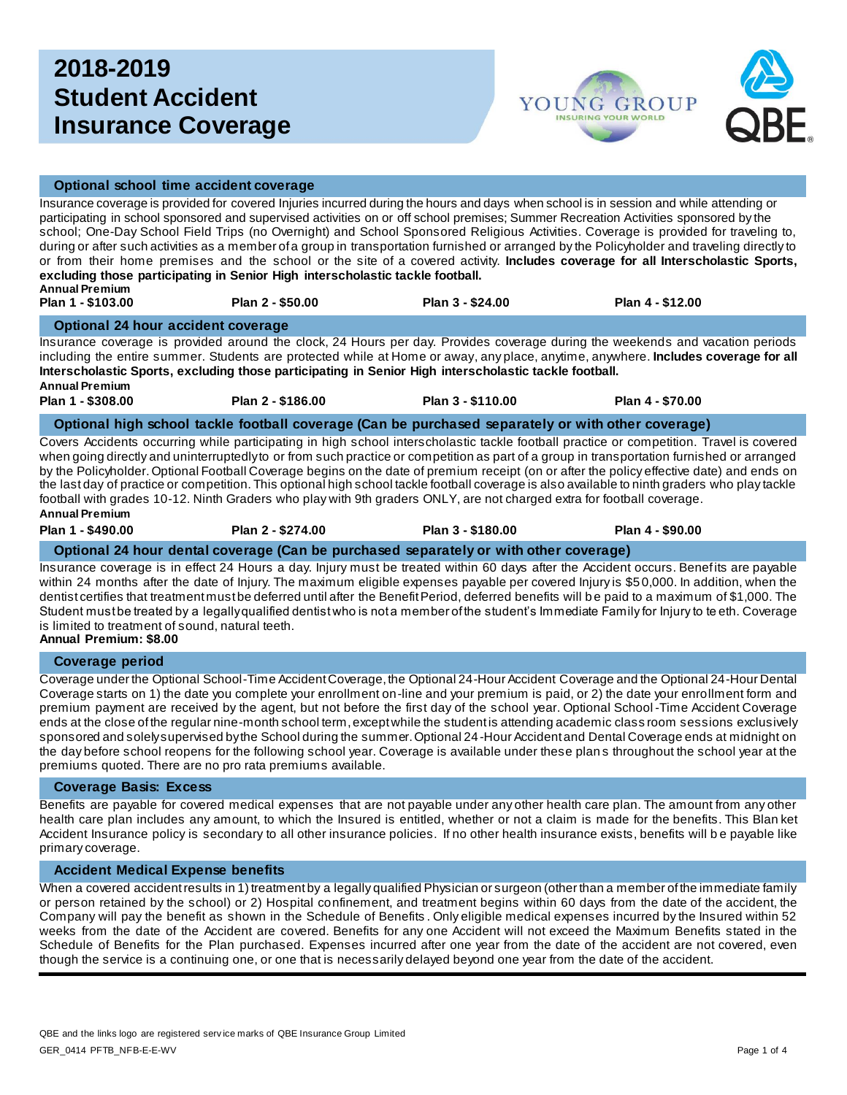# **2018-2019 Student Accident Insurance Coverage**



# **Optional school time accident coverage**

Insurance coverage is provided for covered Injuries incurred during the hours and days when school is in session and while attending or participating in school sponsored and supervised activities on or off school premises; Summer Recreation Activities sponsored by the school; One-Day School Field Trips (no Overnight) and School Sponsored Religious Activities. Coverage is provided for traveling to, during or after such activities as a member of a group in transportation furnished or arranged by the Policyholder and traveling directly to or from their home premises and the school or the site of a covered activity. **Includes coverage for all Interscholastic Sports, excluding those participating in Senior High interscholastic tackle football. Annual Premium** 

**Plan 1 - \$103.00 Plan 2 - \$50.00 Plan 3 - \$24.00 Plan 4 - \$12.00** 

#### **Optional 24 hour accident coverage**

Insurance coverage is provided around the clock, 24 Hours per day. Provides coverage during the weekends and vacation periods including the entire summer. Students are protected while at Home or away, any place, anytime, anywhere. **Includes coverage for all Interscholastic Sports, excluding those participating in Senior High interscholastic tackle football. Annual Premium**

**Plan 1 - \$308.00 Plan 2 - \$186.00 Plan 3 - \$110.00 Plan 4 - \$70.00**

#### **Optional high school tackle football coverage (Can be purchased separately or with other coverage)**

Covers Accidents occurring while participating in high school interscholastic tackle football practice or competition. Travel is covered when going directly and uninterruptedly to or from such practice or competition as part of a group in transportation furnished or arranged by the Policyholder. Optional Football Coverage begins on the date of premium receipt (on or after the policy effective date) and ends on the last day of practice or competition. This optional high school tackle football coverage is also available to ninth graders who play tackle football with grades 10-12. Ninth Graders who play with 9th graders ONLY, are not charged extra for football coverage. **Annual Premium**

| Plan 1 - \$490.00 | Plan 2 - \$274.00 | Plan 3 - \$180.00 | Plan 4 - \$90.00 |
|-------------------|-------------------|-------------------|------------------|
|                   |                   |                   |                  |

## **Optional 24 hour dental coverage (Can be purchased separately or with other coverage)**

Insurance coverage is in effect 24 Hours a day. Injury must be treated within 60 days after the Accident occurs. Benefits are payable within 24 months after the date of Injury. The maximum eligible expenses payable per covered Injury is \$50,000. In addition, when the dentist certifies that treatment must be deferred until after the Benefit Period, deferred benefits will b e paid to a maximum of \$1,000. The Student must be treated by a legally qualified dentist who is not a member of the student's Immediate Family for Injury to te eth. Coverage is limited to treatment of sound, natural teeth.

**Annual Premium: \$8.00**

# **Coverage period**

Coverage under the Optional School-Time Accident Coverage, the Optional 24-Hour Accident Coverage and the Optional 24-Hour Dental Coverage starts on 1) the date you complete your enrollment on-line and your premium is paid, or 2) the date your enrollment form and premium payment are received by the agent, but not before the first day of the school year. Optional School -Time Accident Coverage ends at the close of the regular nine-month school term, except while the student is attending academic class room sessions exclusively sponsored and solely supervised by the School during the summer. Optional 24-Hour Accident and Dental Coverage ends at midnight on the day before school reopens for the following school year. Coverage is available under these plan s throughout the school year at the premiums quoted. There are no pro rata premiums available.

#### **Coverage Basis: Excess**

Benefits are payable for covered medical expenses that are not payable under any other health care plan. The amount from any other health care plan includes any amount, to which the Insured is entitled, whether or not a claim is made for the benefits. This Blan ket Accident Insurance policy is secondary to all other insurance policies. If no other health insurance exists, benefits will b e payable like primary coverage.

## **Accident Medical Expense benefits**

When a covered accident results in 1) treatment by a legally qualified Physician or surgeon (other than a member of the immediate family or person retained by the school) or 2) Hospital confinement, and treatment begins within 60 days from the date of the accident, the Company will pay the benefit as shown in the Schedule of Benefits . Only eligible medical expenses incurred by the Insured within 52 weeks from the date of the Accident are covered. Benefits for any one Accident will not exceed the Maximum Benefits stated in the Schedule of Benefits for the Plan purchased. Expenses incurred after one year from the date of the accident are not covered, even though the service is a continuing one, or one that is necessarily delayed beyond one year from the date of the accident.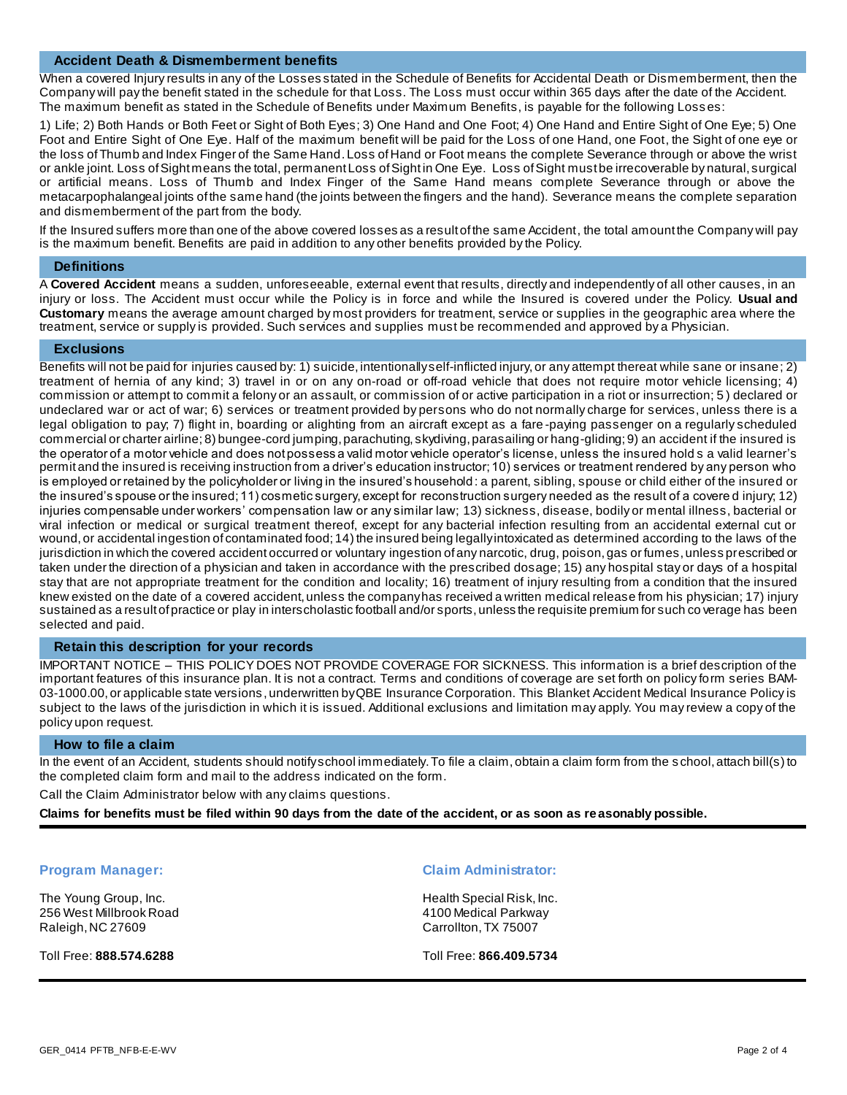# **Accident Death & Dismemberment benefits**

When a covered Injury results in any of the Losses stated in the Schedule of Benefits for Accidental Death or Dismemberment, then the Company will pay the benefit stated in the schedule for that Loss. The Loss must occur within 365 days after the date of the Accident. The maximum benefit as stated in the Schedule of Benefits under Maximum Benefits, is payable for the following Losses:

1) Life; 2) Both Hands or Both Feet or Sight of Both Eyes; 3) One Hand and One Foot; 4) One Hand and Entire Sight of One Eye; 5) One Foot and Entire Sight of One Eye. Half of the maximum benefit will be paid for the Loss of one Hand, one Foot, the Sight of one eye or the loss of Thumb and Index Finger of the Same Hand. Loss of Hand or Foot means the complete Severance through or above the wrist or ankle joint. Loss of Sight means the total, permanent Loss of Sight in One Eye. Loss of Sight must be irrecoverable by natural, surgical or artificial means. Loss of Thumb and Index Finger of the Same Hand means complete Severance through or above the metacarpophalangeal joints of the same hand (the joints between the fingers and the hand). Severance means the complete separation and dismemberment of the part from the body.

If the Insured suffers more than one of the above covered losses as a result of the same Accident, the total amount the Company will pay is the maximum benefit. Benefits are paid in addition to any other benefits provided by the Policy.

#### **Definitions**

A **Covered Accident** means a sudden, unforeseeable, external event that results, directly and independently of all other causes, in an injury or loss. The Accident must occur while the Policy is in force and while the Insured is covered under the Policy. **Usual and Customary** means the average amount charged by most providers for treatment, service or supplies in the geographic area where the treatment, service or supply is provided. Such services and supplies must be recommended and approved by a Physician.

#### **Exclusions**

Benefits will not be paid for injuries caused by: 1) suicide, intentionally self-inflicted injury, or any attempt thereat while sane or insane; 2) treatment of hernia of any kind; 3) travel in or on any on-road or off-road vehicle that does not require motor vehicle licensing; 4) commission or attempt to commit a felony or an assault, or commission of or active participation in a riot or insurrection; 5 ) declared or undeclared war or act of war; 6) services or treatment provided by persons who do not normally charge for services, unless there is a legal obligation to pay; 7) flight in, boarding or alighting from an aircraft except as a fare -paying passenger on a regularly scheduled commercial or charter airline; 8) bungee-cord jumping, parachuting, skydiving, parasailing or hang-gliding; 9) an accident if the insured is the operator of a motor vehicle and does not possess a valid motor vehicle operator's license, unless the insured hold s a valid learner's permit and the insured is receiving instruction from a driver's education instructor; 10) services or treatment rendered by any person who is employed or retained by the policyholder or living in the insured's household: a parent, sibling, spouse or child either of the insured or the insured's spouse or the insured; 11) cosmetic surgery, except for reconstruction surgery needed as the result of a covere d injury; 12) injuries compensable under workers' compensation law or any similar law; 13) sickness, disease, bodily or mental illness, bacterial or viral infection or medical or surgical treatment thereof, except for any bacterial infection resulting from an accidental external cut or wound, or accidental ingestion of contaminated food; 14) the insured being legally intoxicated as determined according to the laws of the jurisdiction in which the covered accident occurred or voluntary ingestion of any narcotic, drug, poison, gas or fumes, unless prescribed or taken under the direction of a physician and taken in accordance with the prescribed dosage; 15) any hospital stay or days of a hospital stay that are not appropriate treatment for the condition and locality; 16) treatment of injury resulting from a condition that the insured knew existed on the date of a covered accident, unless the company has received a written medical release from his physician; 17) injury sustained as a result of practice or play in interscholastic football and/or sports, unless the requisite premium for such co verage has been selected and paid.

# **Retain this description for your records**

IMPORTANT NOTICE – THIS POLICY DOES NOT PROVIDE COVERAGE FOR SICKNESS. This information is a brief description of the important features of this insurance plan. It is not a contract. Terms and conditions of coverage are set forth on policy form series BAM-03-1000.00, or applicable state versions , underwritten by QBE Insurance Corporation. This Blanket Accident Medical Insurance Policy is subject to the laws of the jurisdiction in which it is issued. Additional exclusions and limitation may apply. You may review a copy of the policy upon request.

#### **How to file a claim**

In the event of an Accident, students should notify school immediately. To file a claim, obtain a claim form from the s chool, attach bill(s) to the completed claim form and mail to the address indicated on the form.

Call the Claim Administrator below with any claims questions.

**Claims for benefits must be filed within 90 days from the date of the accident, or as soon as reasonably possible.** 

The Young Group, Inc. 256 West Millbrook Road Raleigh, NC 27609

Toll Free: **888.574.6288**

#### **Program Manager: Claim Administrator:**

Health Special Risk, Inc. 4100 Medical Parkway Carrollton, TX 75007

Toll Free: **866.409.5734**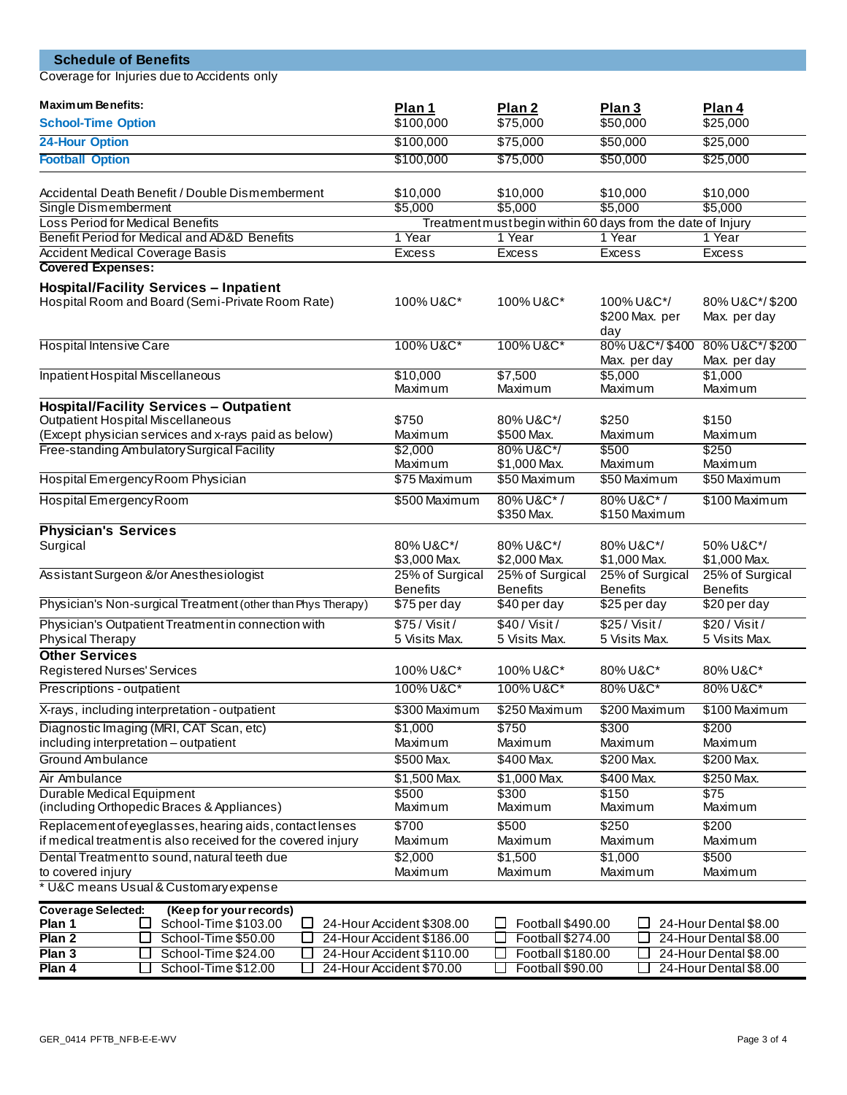| <b>Schedule of Benefits</b>                                                                                                                 |                                    |                                                             |                                            |                                    |  |
|---------------------------------------------------------------------------------------------------------------------------------------------|------------------------------------|-------------------------------------------------------------|--------------------------------------------|------------------------------------|--|
| Coverage for Injuries due to Accidents only                                                                                                 |                                    |                                                             |                                            |                                    |  |
| <b>Maximum Benefits:</b>                                                                                                                    |                                    |                                                             |                                            |                                    |  |
| <b>School-Time Option</b>                                                                                                                   | Plan 1<br>\$100,000                | Plan 2<br>\$75,000                                          | Plan <sub>3</sub><br>\$50,000              | Plan 4<br>\$25,000                 |  |
| 24-Hour Option                                                                                                                              | \$100,000                          | \$75,000                                                    | \$50,000                                   | \$25,000                           |  |
| <b>Football Option</b>                                                                                                                      | \$100,000                          | \$75,000                                                    | \$50,000                                   | \$25,000                           |  |
|                                                                                                                                             |                                    |                                                             |                                            |                                    |  |
| Accidental Death Benefit / Double Dismemberment                                                                                             | \$10,000                           | \$10,000<br>\$5,000                                         | \$10,000<br>\$5,000                        | \$10,000<br>\$5,000                |  |
| Single Dismemberment<br>Loss Period for Medical Benefits                                                                                    | \$5,000                            | Treatment must begin within 60 days from the date of Injury |                                            |                                    |  |
| Benefit Period for Medical and AD&D Benefits                                                                                                | 1 Year                             | 1 Year                                                      | 1 Year                                     | 1 Year                             |  |
| <b>Accident Medical Coverage Basis</b>                                                                                                      | <b>Excess</b>                      | Excess                                                      | Excess                                     | <b>Excess</b>                      |  |
| <b>Covered Expenses:</b>                                                                                                                    |                                    |                                                             |                                            |                                    |  |
| <b>Hospital/Facility Services - Inpatient</b><br>Hospital Room and Board (Semi-Private Room Rate)                                           | 100% U&C*                          | 100% U&C*<br>100% U&C*/<br>\$200 Max. per<br>day            |                                            | 80% U&C*/\$200<br>Max. per day     |  |
| <b>Hospital Intensive Care</b>                                                                                                              | 100% U&C*                          | 100% U&C*                                                   | 80% U&C*/\$400<br>Max. per day             | 80% U&C*/\$200<br>Max. per day     |  |
| Inpatient Hospital Miscellaneous                                                                                                            | \$10,000<br>Maximum                | \$7,500<br>Maximum                                          | \$5,000<br>Maximum                         | \$1,000<br>Maximum                 |  |
| <b>Hospital/Facility Services - Outpatient</b><br>Outpatient Hospital Miscellaneous<br>(Except physician services and x-rays paid as below) | \$750<br>Maximum                   | 80% U&C*/<br>\$500 Max.                                     | \$250<br>Maximum                           | \$150<br>Maximum                   |  |
| Free-standing Ambulatory Surgical Facility                                                                                                  | \$2,000<br>Maximum                 | 80% U&C*/<br>\$1,000 Max.                                   | \$500<br>Maximum                           | \$250<br>Maximum                   |  |
| Hospital Emergency Room Physician                                                                                                           | \$75 Maximum                       | \$50 Maximum                                                | \$50 Maximum                               | \$50 Maximum                       |  |
| Hospital Emergency Room                                                                                                                     | \$500 Maximum                      | 80% U&C*/<br>\$350 Max.                                     | 80% U&C*/<br>\$150 Maximum                 | \$100 Maximum                      |  |
| <b>Physician's Services</b><br>Surgical                                                                                                     | 80% U&C*/<br>\$3,000 Max.          | 80% U&C*/<br>\$2,000 Max.                                   | 80% U&C*/<br>\$1,000 Max.                  | 50% U&C*/<br>\$1,000 Max.          |  |
| Assistant Surgeon &/or Anesthesiologist                                                                                                     | 25% of Surgical<br><b>Benefits</b> | 25% of Surgical<br><b>Benefits</b>                          | 25% of Surgical<br><b>Benefits</b>         | 25% of Surgical<br><b>Benefits</b> |  |
| Physician's Non-surgical Treatment (other than Phys Therapy)                                                                                | \$75 per day                       | \$40 per day                                                | \$25 per day                               | \$20 per day                       |  |
| Physician's Outpatient Treatment in connection with<br>Physical Therapy                                                                     | $$75/$ Visit/<br>5 Visits Max.     | $$40/$ Visit/<br>5 Visits Max.                              | $$25/$ Visit/<br>5 Visits Max.             | \$20/Visit/<br>5 Visits Max.       |  |
| <b>Other Services</b>                                                                                                                       |                                    |                                                             |                                            |                                    |  |
| Registered Nurses' Services                                                                                                                 | 100% U&C*                          | 100% U&C*                                                   | 80% U&C*                                   | 80% U&C*                           |  |
| Prescriptions - outpatient                                                                                                                  | 100% U&C*                          | 100% U&C*                                                   | 80% U&C*                                   | 80% U&C*                           |  |
| X-rays, including interpretation - outpatient                                                                                               | \$300 Maximum                      | \$250 Maximum                                               | \$200 Maximum                              | \$100 Maximum                      |  |
| Diagnostic Imaging (MRI, CAT Scan, etc)                                                                                                     | \$1,000                            | \$750                                                       | \$300                                      | \$200                              |  |
| including interpretation - outpatient<br>Ground Ambulance                                                                                   | Maximum<br>\$500 Max.              | Maximum<br>\$400 Max.                                       | Maximum<br>\$200 Max.                      | Maximum<br>\$200 Max.              |  |
| Air Ambulance                                                                                                                               | \$1,500 Max.                       | \$1,000 Max.                                                | \$400 Max.                                 | \$250 Max.                         |  |
| Durable Medical Equipment                                                                                                                   | \$500                              | \$300                                                       | \$150                                      | $\sqrt{$75}$                       |  |
| (including Orthopedic Braces & Appliances)                                                                                                  | Maximum                            | Maximum                                                     | Maximum                                    | Maximum                            |  |
| Replacement of eyeglasses, hearing aids, contact lenses<br>if medical treatment is also received for the covered injury                     | \$700<br>Maximum                   | \$500<br>Maximum                                            | \$250<br>Maximum                           | \$200<br>Maximum                   |  |
| Dental Treatment to sound, natural teeth due                                                                                                | \$2,000                            | \$1,500                                                     | \$1,000                                    | \$500                              |  |
| to covered injury<br>* U&C means Usual & Customary expense                                                                                  | Maximum                            | Maximum                                                     | Maximum                                    | Maximum                            |  |
| <b>Coverage Selected:</b><br>(Keep for your records)                                                                                        |                                    |                                                             |                                            |                                    |  |
| Plan 1<br>School-Time \$103.00<br>$\Box$<br>U                                                                                               | 24-Hour Accident \$308.00          | Football \$490.00<br>⊔                                      |                                            | 24-Hour Dental \$8.00              |  |
| Plan <sub>2</sub><br>School-Time \$50.00<br>ப<br>ப                                                                                          | 24-Hour Accident \$186.00          | ப                                                           | Football \$274.00<br>24-Hour Dental \$8.00 |                                    |  |
| Plan 3<br>School-Time \$24.00<br>$\mathcal{L}$                                                                                              | 24-Hour Accident \$110.00          | Football \$180.00                                           |                                            | 24-Hour Dental \$8.00              |  |
| Plan 4<br>School-Time \$12.00                                                                                                               | 24-Hour Accident \$70.00           | Football \$90.00                                            |                                            | 24-Hour Dental \$8.00              |  |